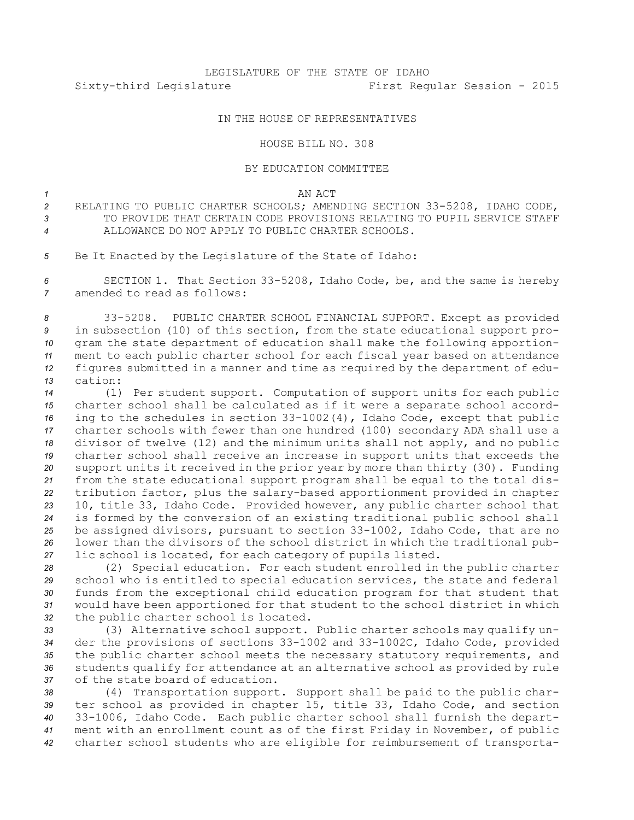## IN THE HOUSE OF REPRESENTATIVES

## HOUSE BILL NO. 308

## BY EDUCATION COMMITTEE

*1* AN ACT

- *<sup>2</sup>* RELATING TO PUBLIC CHARTER SCHOOLS; AMENDING SECTION 33-5208, IDAHO CODE, 3 **3 TO PROVIDE THAT CERTAIN CODE PROVISIONS RELATING TO PUPIL SERVICE STAFF** *4* ALLOWANCE DO NOT APPLY TO PUBLIC CHARTER SCHOOLS.
- *<sup>5</sup>* Be It Enacted by the Legislature of the State of Idaho:

*<sup>6</sup>* SECTION 1. That Section 33-5208, Idaho Code, be, and the same is hereby *7* amended to read as follows:

 33-5208. PUBLIC CHARTER SCHOOL FINANCIAL SUPPORT. Except as provided in subsection (10) of this section, from the state educational support pro- gram the state department of education shall make the following apportion- ment to each public charter school for each fiscal year based on attendance figures submitted in <sup>a</sup> manner and time as required by the department of edu-*13* cation:

 (1) Per student support. Computation of support units for each public charter school shall be calculated as if it were <sup>a</sup> separate school accord- ing to the schedules in section 33-1002(4), Idaho Code, except that public charter schools with fewer than one hundred (100) secondary ADA shall use <sup>a</sup> divisor of twelve (12) and the minimum units shall not apply, and no public charter school shall receive an increase in support units that exceeds the support units it received in the prior year by more than thirty (30). Funding from the state educational support program shall be equal to the total dis- tribution factor, plus the salary-based apportionment provided in chapter 10, title 33, Idaho Code. Provided however, any public charter school that is formed by the conversion of an existing traditional public school shall be assigned divisors, pursuant to section 33-1002, Idaho Code, that are no lower than the divisors of the school district in which the traditional pub-lic school is located, for each category of pupils listed.

 (2) Special education. For each student enrolled in the public charter school who is entitled to special education services, the state and federal funds from the exceptional child education program for that student that would have been apportioned for that student to the school district in which the public charter school is located.

 (3) Alternative school support. Public charter schools may qualify un- der the provisions of sections 33-1002 and 33-1002C, Idaho Code, provided the public charter school meets the necessary statutory requirements, and students qualify for attendance at an alternative school as provided by rule of the state board of education.

 (4) Transportation support. Support shall be paid to the public char- ter school as provided in chapter 15, title 33, Idaho Code, and section 33-1006, Idaho Code. Each public charter school shall furnish the depart- ment with an enrollment count as of the first Friday in November, of public charter school students who are eligible for reimbursement of transporta-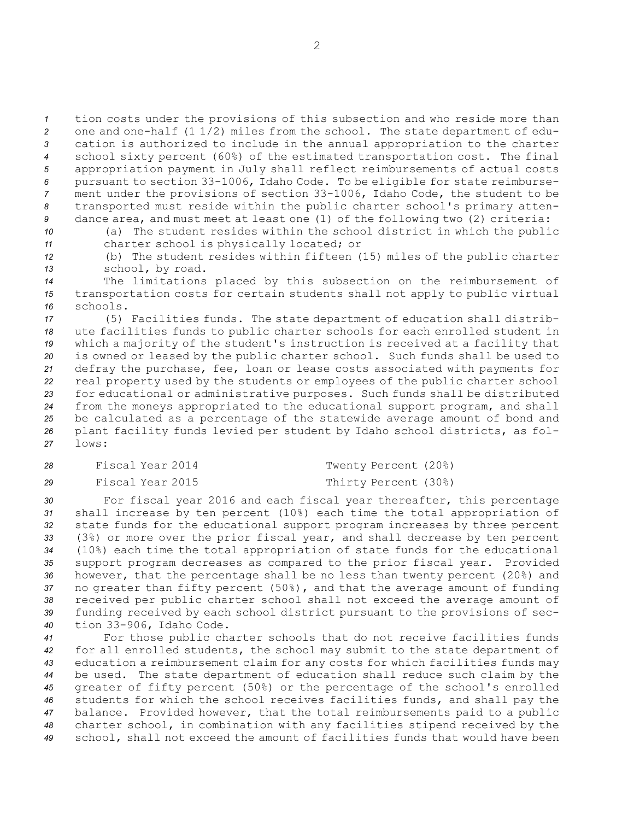tion costs under the provisions of this subsection and who reside more than one and one-half (1 1/2) miles from the school. The state department of edu- cation is authorized to include in the annual appropriation to the charter school sixty percent (60%) of the estimated transportation cost. The final appropriation payment in July shall reflect reimbursements of actual costs pursuant to section 33-1006, Idaho Code. To be eligible for state reimburse- ment under the provisions of section 33-1006, Idaho Code, the student to be transported must reside within the public charter school's primary atten-dance area, and must meet at least one (1) of the following two (2) criteria:

*<sup>10</sup>* (a) The student resides within the school district in which the public *<sup>11</sup>* charter school is physically located; or

*<sup>12</sup>* (b) The student resides within fifteen (15) miles of the public charter *<sup>13</sup>* school, by road.

*<sup>14</sup>* The limitations placed by this subsection on the reimbursement of *<sup>15</sup>* transportation costs for certain students shall not apply to public virtual *16* schools.

 (5) Facilities funds. The state department of education shall distrib- ute facilities funds to public charter schools for each enrolled student in which <sup>a</sup> majority of the student's instruction is received at <sup>a</sup> facility that is owned or leased by the public charter school. Such funds shall be used to defray the purchase, fee, loan or lease costs associated with payments for real property used by the students or employees of the public charter school for educational or administrative purposes. Such funds shall be distributed from the moneys appropriated to the educational support program, and shall be calculated as <sup>a</sup> percentage of the statewide average amount of bond and plant facility funds levied per student by Idaho school districts, as fol-*27* lows:

| 28 | Fiscal Year 2014 | Twenty Percent (20%) |
|----|------------------|----------------------|
| 29 | Fiscal Year 2015 | Thirty Percent (30%) |

 For fiscal year 2016 and each fiscal year thereafter, this percentage shall increase by ten percent (10%) each time the total appropriation of state funds for the educational support program increases by three percent (3%) or more over the prior fiscal year, and shall decrease by ten percent (10%) each time the total appropriation of state funds for the educational support program decreases as compared to the prior fiscal year. Provided however, that the percentage shall be no less than twenty percent (20%) and no greater than fifty percent (50%), and that the average amount of funding received per public charter school shall not exceed the average amount of funding received by each school district pursuant to the provisions of sec-tion 33-906, Idaho Code.

 For those public charter schools that do not receive facilities funds for all enrolled students, the school may submit to the state department of education <sup>a</sup> reimbursement claim for any costs for which facilities funds may be used. The state department of education shall reduce such claim by the greater of fifty percent (50%) or the percentage of the school's enrolled students for which the school receives facilities funds, and shall pay the balance. Provided however, that the total reimbursements paid to <sup>a</sup> public charter school, in combination with any facilities stipend received by the school, shall not exceed the amount of facilities funds that would have been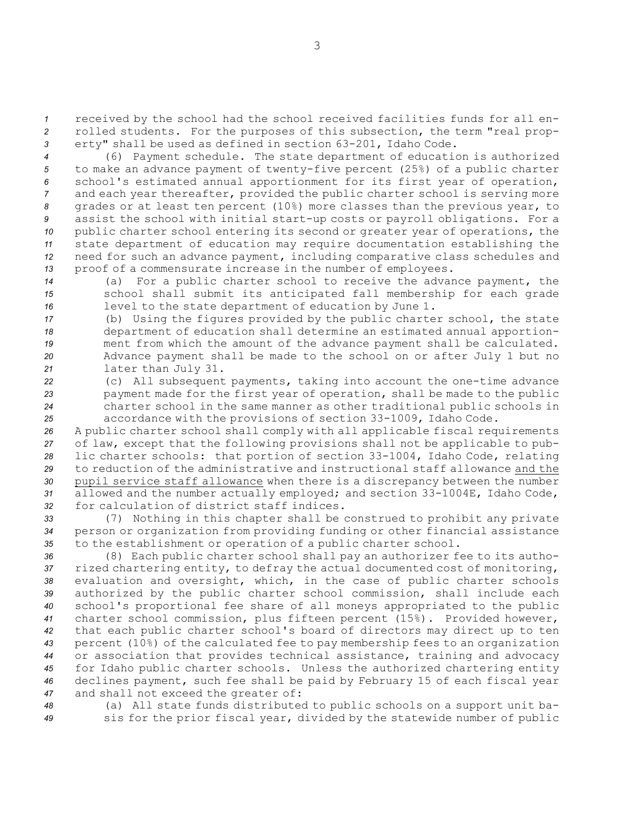*<sup>1</sup>* received by the school had the school received facilities funds for all en-*<sup>2</sup>* rolled students. For the purposes of this subsection, the term "real prop-*<sup>3</sup>* erty" shall be used as defined in section 63-201, Idaho Code.

 (6) Payment schedule. The state department of education is authorized to make an advance payment of twenty-five percent (25%) of <sup>a</sup> public charter school's estimated annual apportionment for its first year of operation, and each year thereafter, provided the public charter school is serving more grades or at least ten percent (10%) more classes than the previous year, to assist the school with initial start-up costs or payroll obligations. For <sup>a</sup> public charter school entering its second or greater year of operations, the state department of education may require documentation establishing the need for such an advance payment, including comparative class schedules and proof of <sup>a</sup> commensurate increase in the number of employees.

*<sup>14</sup>* (a) For <sup>a</sup> public charter school to receive the advance payment, the *<sup>15</sup>* school shall submit its anticipated fall membership for each grade *<sup>16</sup>* level to the state department of education by June 1.

 (b) Using the figures provided by the public charter school, the state department of education shall determine an estimated annual apportion- ment from which the amount of the advance payment shall be calculated. Advance payment shall be made to the school on or after July 1 but no later than July 31.

 (c) All subsequent payments, taking into account the one-time advance payment made for the first year of operation, shall be made to the public charter school in the same manner as other traditional public schools in accordance with the provisions of section 33-1009, Idaho Code.

 <sup>A</sup> public charter school shall comply with all applicable fiscal requirements of law, except that the following provisions shall not be applicable to pub- lic charter schools: that portion of section 33-1004, Idaho Code, relating to reduction of the administrative and instructional staff allowance and the pupil service staff allowance when there is <sup>a</sup> discrepancy between the number allowed and the number actually employed; and section 33-1004E, Idaho Code, for calculation of district staff indices.

*<sup>33</sup>* (7) Nothing in this chapter shall be construed to prohibit any private *<sup>34</sup>* person or organization from providing funding or other financial assistance *<sup>35</sup>* to the establishment or operation of <sup>a</sup> public charter school.

 (8) Each public charter school shall pay an authorizer fee to its autho- rized chartering entity, to defray the actual documented cost of monitoring, evaluation and oversight, which, in the case of public charter schools authorized by the public charter school commission, shall include each school's proportional fee share of all moneys appropriated to the public charter school commission, plus fifteen percent (15%). Provided however, that each public charter school's board of directors may direct up to ten percent (10%) of the calculated fee to pay membership fees to an organization or association that provides technical assistance, training and advocacy for Idaho public charter schools. Unless the authorized chartering entity declines payment, such fee shall be paid by February 15 of each fiscal year and shall not exceed the greater of:

*<sup>48</sup>* (a) All state funds distributed to public schools on <sup>a</sup> support unit ba-*<sup>49</sup>* sis for the prior fiscal year, divided by the statewide number of public